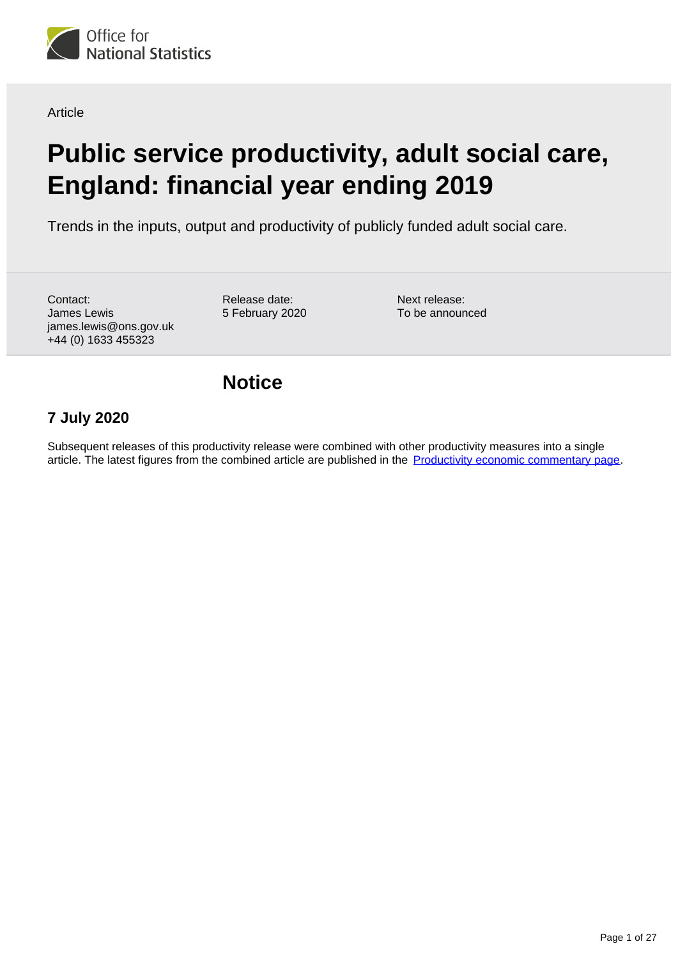<span id="page-0-0"></span>

Article

# **Public service productivity, adult social care, England: financial year ending 2019**

Trends in the inputs, output and productivity of publicly funded adult social care.

Contact: James Lewis james.lewis@ons.gov.uk +44 (0) 1633 455323

Release date: 5 February 2020

Next release: To be announced

## **Notice**

## **7 July 2020**

Subsequent releases of this productivity release were combined with other productivity measures into a single article. The latest figures from the combined article are published in the **Productivity economic commentary page**.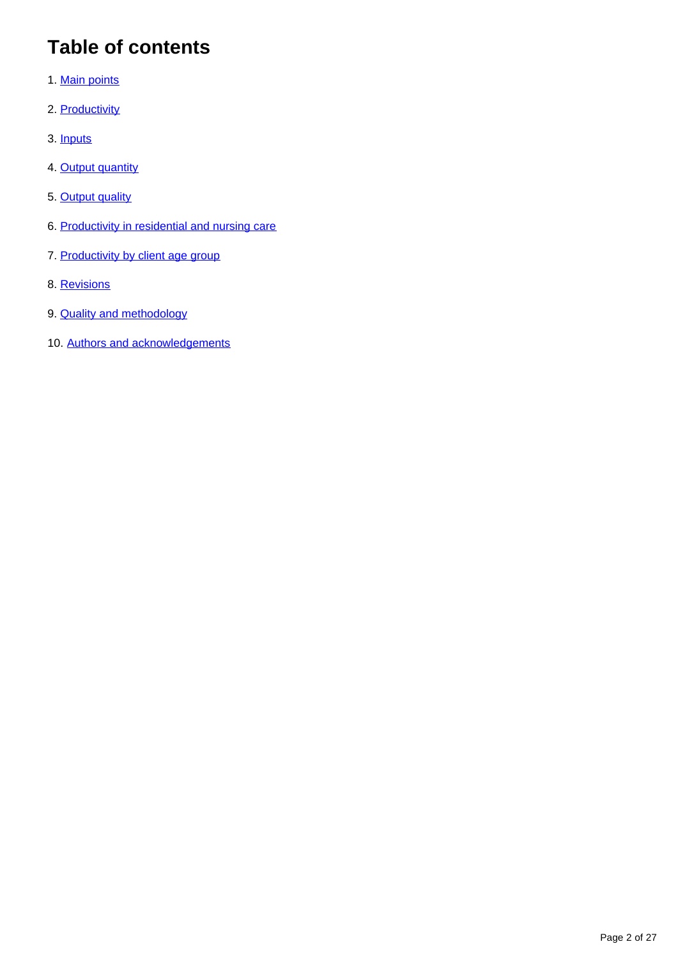# **Table of contents**

- 1. [Main points](#page-2-0)
- 2. [Productivity](#page-2-1)
- 3. [Inputs](#page-6-0)
- 4. [Output quantity](#page-10-0)
- 5. [Output quality](#page-15-0)
- 6. [Productivity in residential and nursing care](#page-18-0)
- 7. [Productivity by client age group](#page-21-0)
- 8. [Revisions](#page-23-0)
- 9. **[Quality and methodology](#page-23-1)**
- 10. [Authors and acknowledgements](#page-26-0)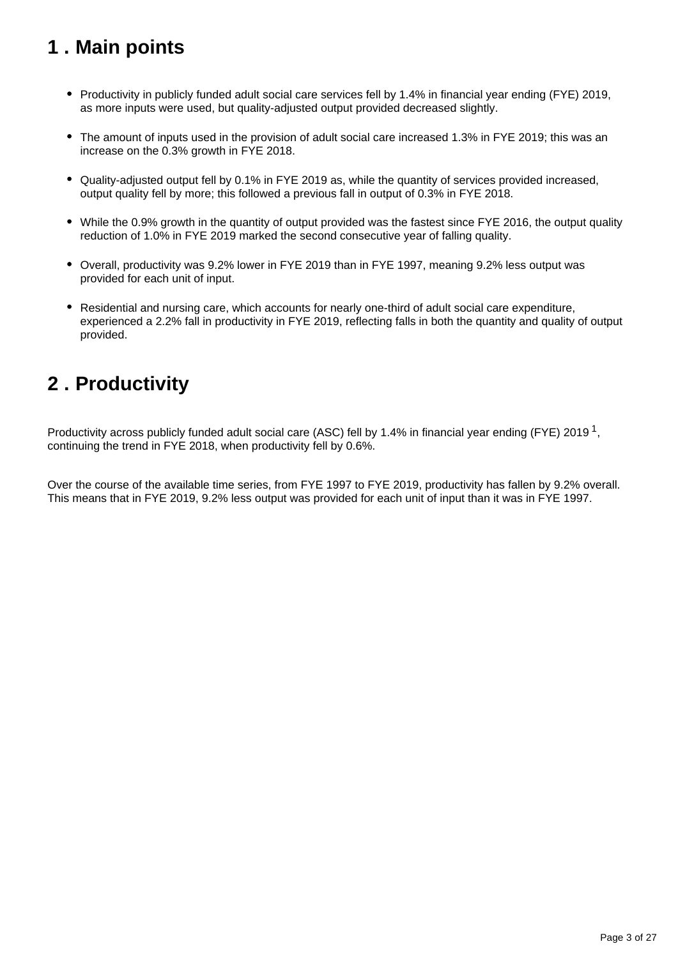# <span id="page-2-0"></span>**1 . Main points**

- Productivity in publicly funded adult social care services fell by 1.4% in financial year ending (FYE) 2019, as more inputs were used, but quality-adjusted output provided decreased slightly.
- The amount of inputs used in the provision of adult social care increased 1.3% in FYE 2019; this was an increase on the 0.3% growth in FYE 2018.
- Quality-adjusted output fell by 0.1% in FYE 2019 as, while the quantity of services provided increased, output quality fell by more; this followed a previous fall in output of 0.3% in FYE 2018.
- While the 0.9% growth in the quantity of output provided was the fastest since FYE 2016, the output quality reduction of 1.0% in FYE 2019 marked the second consecutive year of falling quality.
- Overall, productivity was 9.2% lower in FYE 2019 than in FYE 1997, meaning 9.2% less output was provided for each unit of input.
- Residential and nursing care, which accounts for nearly one-third of adult social care expenditure, experienced a 2.2% fall in productivity in FYE 2019, reflecting falls in both the quantity and quality of output provided.

# <span id="page-2-1"></span>**2 . Productivity**

Productivity across publicly funded adult social care (ASC) fell by 1.4% in financial year ending (FYE) 2019<sup>1</sup>, continuing the trend in FYE 2018, when productivity fell by 0.6%.

Over the course of the available time series, from FYE 1997 to FYE 2019, productivity has fallen by 9.2% overall. This means that in FYE 2019, 9.2% less output was provided for each unit of input than it was in FYE 1997.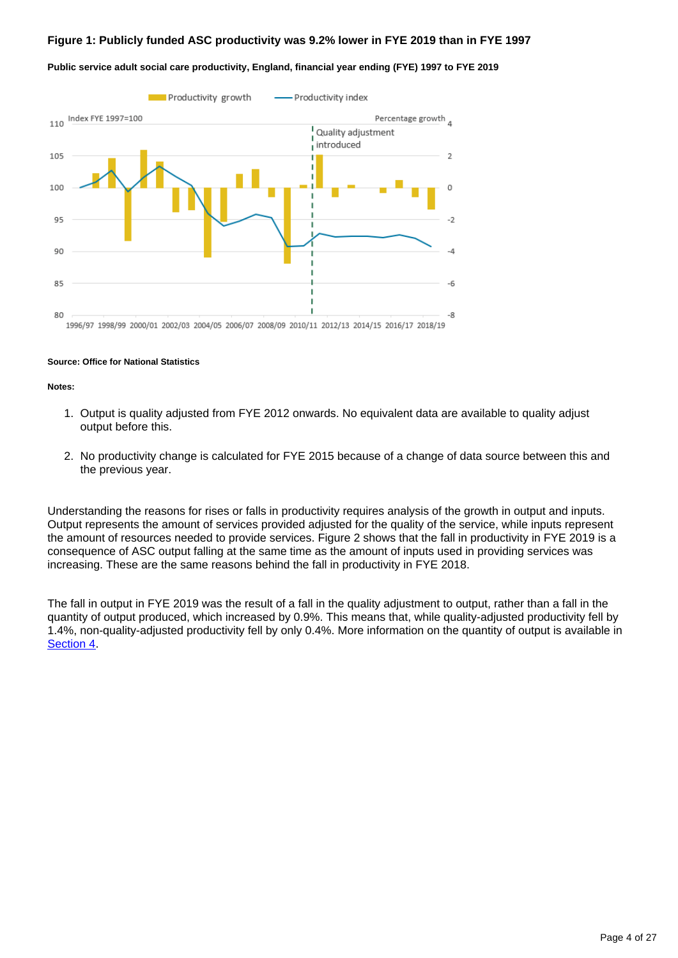#### **Figure 1: Publicly funded ASC productivity was 9.2% lower in FYE 2019 than in FYE 1997**



#### **Public service adult social care productivity, England, financial year ending (FYE) 1997 to FYE 2019**

#### **Source: Office for National Statistics**

#### **Notes:**

- 1. Output is quality adjusted from FYE 2012 onwards. No equivalent data are available to quality adjust output before this.
- 2. No productivity change is calculated for FYE 2015 because of a change of data source between this and the previous year.

Understanding the reasons for rises or falls in productivity requires analysis of the growth in output and inputs. Output represents the amount of services provided adjusted for the quality of the service, while inputs represent the amount of resources needed to provide services. Figure 2 shows that the fall in productivity in FYE 2019 is a consequence of ASC output falling at the same time as the amount of inputs used in providing services was increasing. These are the same reasons behind the fall in productivity in FYE 2018.

The fall in output in FYE 2019 was the result of a fall in the quality adjustment to output, rather than a fall in the quantity of output produced, which increased by 0.9%. This means that, while quality-adjusted productivity fell by 1.4%, non-quality-adjusted productivity fell by only 0.4%. More information on the quantity of output is available in [Section 4](https://www.ons.gov.uk/economy/economicoutputandproductivity/publicservicesproductivity/articles/publicserviceproductivityadultsocialcareengland/financialyearending2019#output-quantity).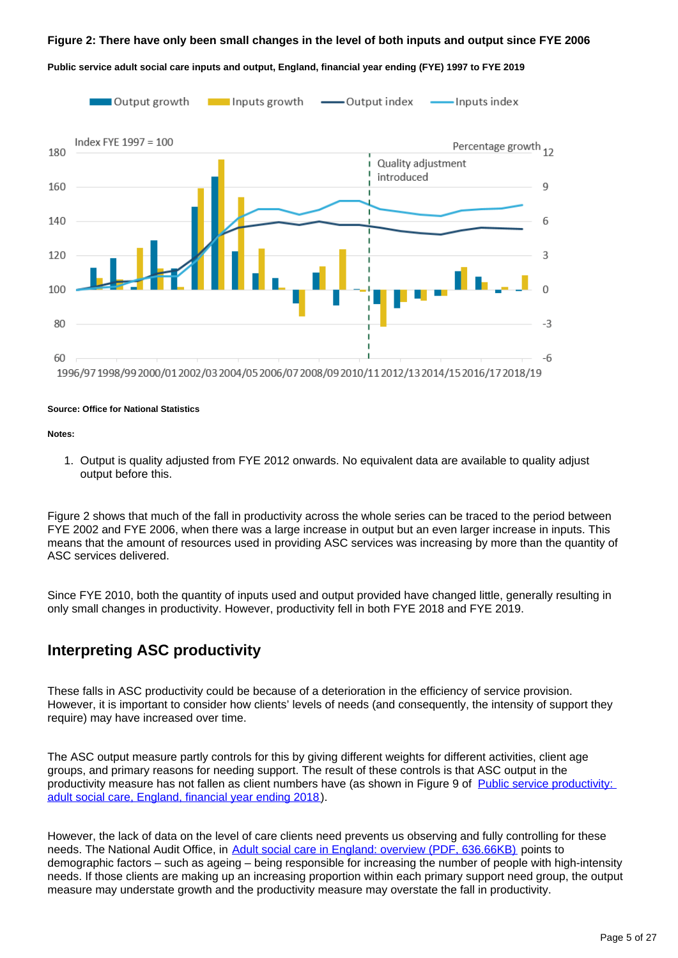#### **Figure 2: There have only been small changes in the level of both inputs and output since FYE 2006**



**Public service adult social care inputs and output, England, financial year ending (FYE) 1997 to FYE 2019**

#### **Source: Office for National Statistics**

#### **Notes:**

1. Output is quality adjusted from FYE 2012 onwards. No equivalent data are available to quality adjust output before this.

Figure 2 shows that much of the fall in productivity across the whole series can be traced to the period between FYE 2002 and FYE 2006, when there was a large increase in output but an even larger increase in inputs. This means that the amount of resources used in providing ASC services was increasing by more than the quantity of ASC services delivered.

Since FYE 2010, both the quantity of inputs used and output provided have changed little, generally resulting in only small changes in productivity. However, productivity fell in both FYE 2018 and FYE 2019.

### **Interpreting ASC productivity**

These falls in ASC productivity could be because of a deterioration in the efficiency of service provision. However, it is important to consider how clients' levels of needs (and consequently, the intensity of support they require) may have increased over time.

The ASC output measure partly controls for this by giving different weights for different activities, client age groups, and primary reasons for needing support. The result of these controls is that ASC output in the productivity measure has not fallen as client numbers have (as shown in Figure 9 of Public service productivity: [adult social care, England, financial year ending 2018\)](https://www.ons.gov.uk/economy/economicoutputandproductivity/publicservicesproductivity/articles/publicserviceproductivityadultsocialcareengland/financialyearending2018#output-quantity).

However, the lack of data on the level of care clients need prevents us observing and fully controlling for these needs. The National Audit Office, in [Adult social care in England: overview \(PDF, 636.66KB\)](https://www.nao.org.uk/wp-content/uploads/2015/03/Adult-social-care-in-England-overview.pdf) points to demographic factors – such as ageing – being responsible for increasing the number of people with high-intensity needs. If those clients are making up an increasing proportion within each primary support need group, the output measure may understate growth and the productivity measure may overstate the fall in productivity.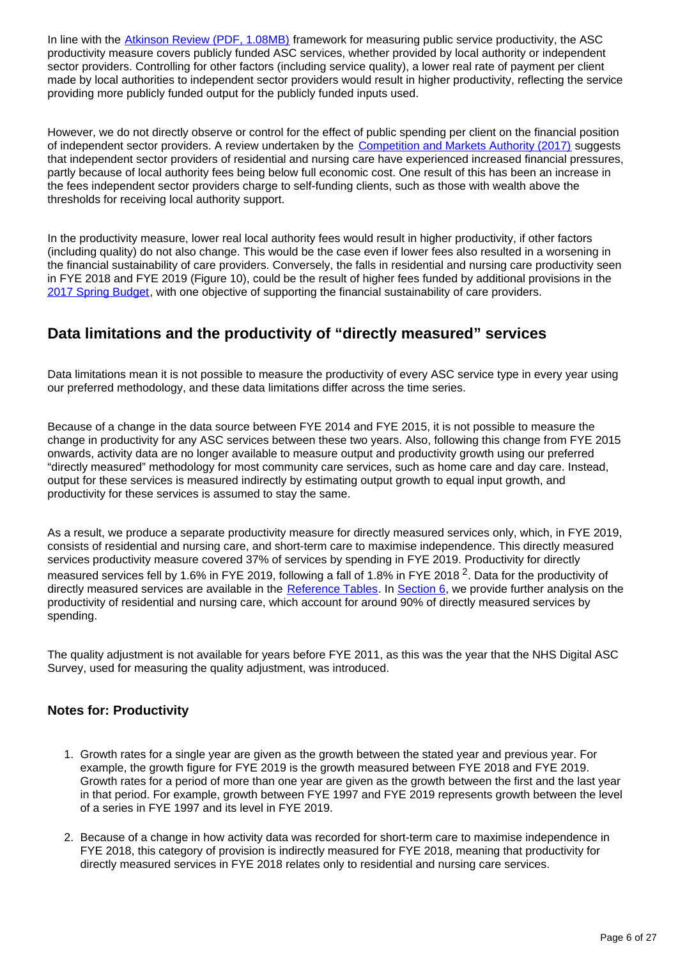In line with the [Atkinson Review \(PDF, 1.08MB\)](http://www.ons.gov.uk/ons/guide-method/method-quality/specific/public-sector-methodology/articles/atkinson-review-final-report.pdf) framework for measuring public service productivity, the ASC productivity measure covers publicly funded ASC services, whether provided by local authority or independent sector providers. Controlling for other factors (including service quality), a lower real rate of payment per client made by local authorities to independent sector providers would result in higher productivity, reflecting the service providing more publicly funded output for the publicly funded inputs used.

However, we do not directly observe or control for the effect of public spending per client on the financial position of independent sector providers. A review undertaken by the [Competition and Markets Authority \(2017\)](https://www.gov.uk/government/publications/care-homes-market-study-summary-of-final-report) suggests that independent sector providers of residential and nursing care have experienced increased financial pressures, partly because of local authority fees being below full economic cost. One result of this has been an increase in the fees independent sector providers charge to self-funding clients, such as those with wealth above the thresholds for receiving local authority support.

In the productivity measure, lower real local authority fees would result in higher productivity, if other factors (including quality) do not also change. This would be the case even if lower fees also resulted in a worsening in the financial sustainability of care providers. Conversely, the falls in residential and nursing care productivity seen in FYE 2018 and FYE 2019 (Figure 10), could be the result of higher fees funded by additional provisions in the [2017 Spring Budget,](https://www.gov.uk/government/publications/spring-budget-2017-documents) with one objective of supporting the financial sustainability of care providers.

## **Data limitations and the productivity of "directly measured" services**

Data limitations mean it is not possible to measure the productivity of every ASC service type in every year using our preferred methodology, and these data limitations differ across the time series.

Because of a change in the data source between FYE 2014 and FYE 2015, it is not possible to measure the change in productivity for any ASC services between these two years. Also, following this change from FYE 2015 onwards, activity data are no longer available to measure output and productivity growth using our preferred "directly measured" methodology for most community care services, such as home care and day care. Instead, output for these services is measured indirectly by estimating output growth to equal input growth, and productivity for these services is assumed to stay the same.

As a result, we produce a separate productivity measure for directly measured services only, which, in FYE 2019, consists of residential and nursing care, and short-term care to maximise independence. This directly measured services productivity measure covered 37% of services by spending in FYE 2019. Productivity for directly measured services fell by 1.6% in FYE 2019, following a fall of 1.8% in FYE 2018<sup>2</sup>. Data for the productivity of directly measured services are available in the [Reference Tables](https://www.ons.gov.uk/economy/economicoutputandproductivity/publicservicesproductivity/datasets/publicserviceproductivityadultsocialcare). In [Section 6](https://www.ons.gov.uk/economy/economicoutputandproductivity/publicservicesproductivity/articles/publicserviceproductivityadultsocialcareengland/financialyearending2019#productivity-in-residential-and-nursing-care), we provide further analysis on the productivity of residential and nursing care, which account for around 90% of directly measured services by spending.

The quality adjustment is not available for years before FYE 2011, as this was the year that the NHS Digital ASC Survey, used for measuring the quality adjustment, was introduced.

### **Notes for: Productivity**

- 1. Growth rates for a single year are given as the growth between the stated year and previous year. For example, the growth figure for FYE 2019 is the growth measured between FYE 2018 and FYE 2019. Growth rates for a period of more than one year are given as the growth between the first and the last year in that period. For example, growth between FYE 1997 and FYE 2019 represents growth between the level of a series in FYE 1997 and its level in FYE 2019.
- 2. Because of a change in how activity data was recorded for short-term care to maximise independence in FYE 2018, this category of provision is indirectly measured for FYE 2018, meaning that productivity for directly measured services in FYE 2018 relates only to residential and nursing care services.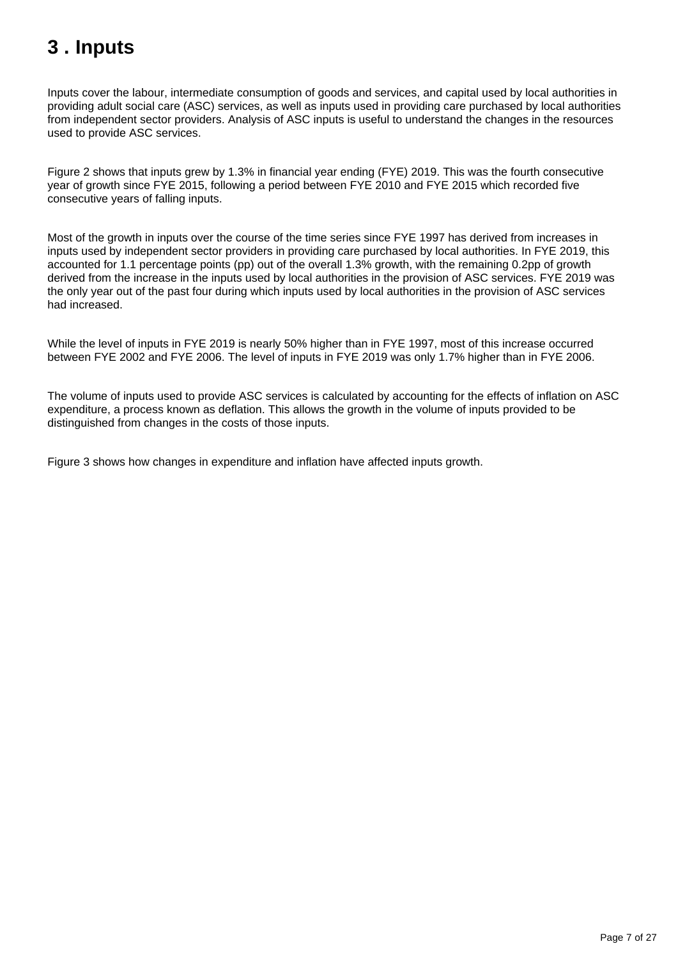# <span id="page-6-0"></span>**3 . Inputs**

Inputs cover the labour, intermediate consumption of goods and services, and capital used by local authorities in providing adult social care (ASC) services, as well as inputs used in providing care purchased by local authorities from independent sector providers. Analysis of ASC inputs is useful to understand the changes in the resources used to provide ASC services.

Figure 2 shows that inputs grew by 1.3% in financial year ending (FYE) 2019. This was the fourth consecutive year of growth since FYE 2015, following a period between FYE 2010 and FYE 2015 which recorded five consecutive years of falling inputs.

Most of the growth in inputs over the course of the time series since FYE 1997 has derived from increases in inputs used by independent sector providers in providing care purchased by local authorities. In FYE 2019, this accounted for 1.1 percentage points (pp) out of the overall 1.3% growth, with the remaining 0.2pp of growth derived from the increase in the inputs used by local authorities in the provision of ASC services. FYE 2019 was the only year out of the past four during which inputs used by local authorities in the provision of ASC services had increased.

While the level of inputs in FYE 2019 is nearly 50% higher than in FYE 1997, most of this increase occurred between FYE 2002 and FYE 2006. The level of inputs in FYE 2019 was only 1.7% higher than in FYE 2006.

The volume of inputs used to provide ASC services is calculated by accounting for the effects of inflation on ASC expenditure, a process known as deflation. This allows the growth in the volume of inputs provided to be distinguished from changes in the costs of those inputs.

Figure 3 shows how changes in expenditure and inflation have affected inputs growth.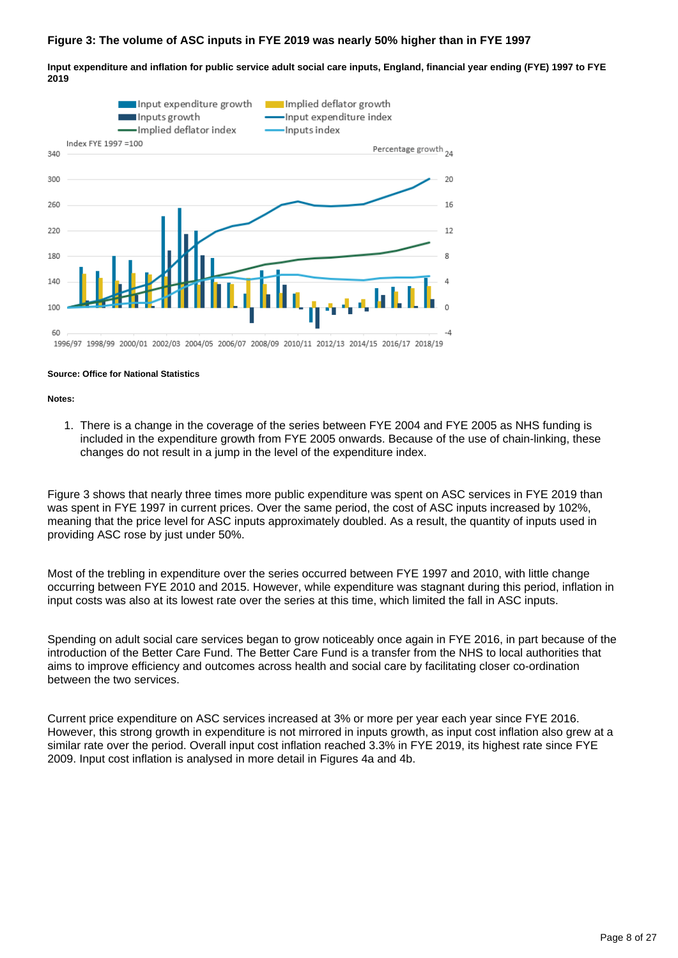#### **Figure 3: The volume of ASC inputs in FYE 2019 was nearly 50% higher than in FYE 1997**

**Input expenditure and inflation for public service adult social care inputs, England, financial year ending (FYE) 1997 to FYE 2019**



#### **Source: Office for National Statistics**

**Notes:**

1. There is a change in the coverage of the series between FYE 2004 and FYE 2005 as NHS funding is included in the expenditure growth from FYE 2005 onwards. Because of the use of chain-linking, these changes do not result in a jump in the level of the expenditure index.

Figure 3 shows that nearly three times more public expenditure was spent on ASC services in FYE 2019 than was spent in FYE 1997 in current prices. Over the same period, the cost of ASC inputs increased by 102%, meaning that the price level for ASC inputs approximately doubled. As a result, the quantity of inputs used in providing ASC rose by just under 50%.

Most of the trebling in expenditure over the series occurred between FYE 1997 and 2010, with little change occurring between FYE 2010 and 2015. However, while expenditure was stagnant during this period, inflation in input costs was also at its lowest rate over the series at this time, which limited the fall in ASC inputs.

Spending on adult social care services began to grow noticeably once again in FYE 2016, in part because of the introduction of the Better Care Fund. The Better Care Fund is a transfer from the NHS to local authorities that aims to improve efficiency and outcomes across health and social care by facilitating closer co-ordination between the two services.

Current price expenditure on ASC services increased at 3% or more per year each year since FYE 2016. However, this strong growth in expenditure is not mirrored in inputs growth, as input cost inflation also grew at a similar rate over the period. Overall input cost inflation reached 3.3% in FYE 2019, its highest rate since FYE 2009. Input cost inflation is analysed in more detail in Figures 4a and 4b.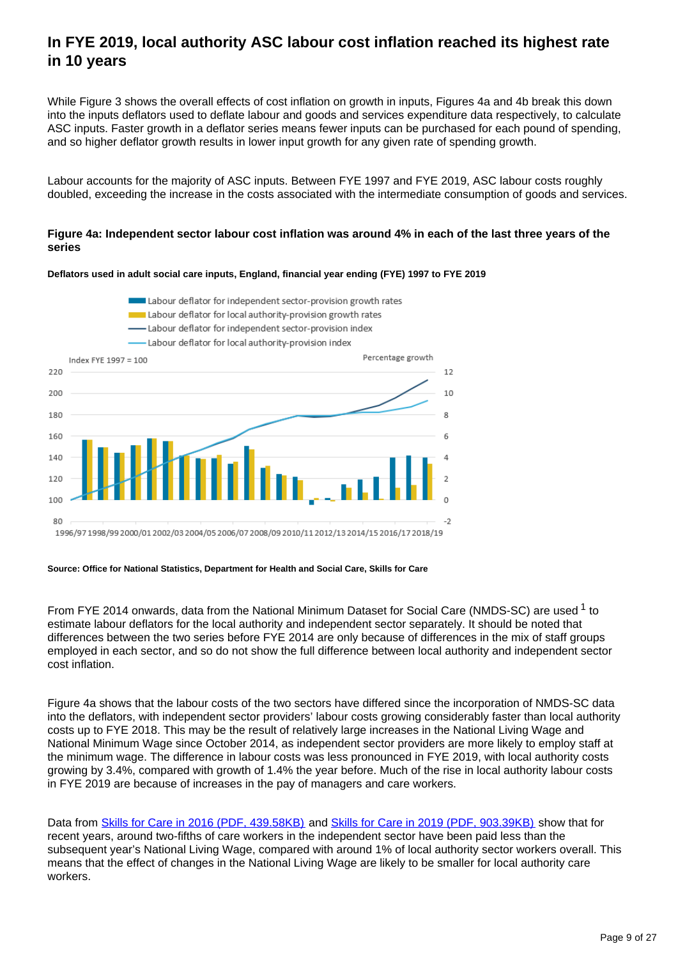## **In FYE 2019, local authority ASC labour cost inflation reached its highest rate in 10 years**

While Figure 3 shows the overall effects of cost inflation on growth in inputs, Figures 4a and 4b break this down into the inputs deflators used to deflate labour and goods and services expenditure data respectively, to calculate ASC inputs. Faster growth in a deflator series means fewer inputs can be purchased for each pound of spending, and so higher deflator growth results in lower input growth for any given rate of spending growth.

Labour accounts for the majority of ASC inputs. Between FYE 1997 and FYE 2019, ASC labour costs roughly doubled, exceeding the increase in the costs associated with the intermediate consumption of goods and services.

#### **Figure 4a: Independent sector labour cost inflation was around 4% in each of the last three years of the series**



#### **Deflators used in adult social care inputs, England, financial year ending (FYE) 1997 to FYE 2019**

#### **Source: Office for National Statistics, Department for Health and Social Care, Skills for Care**

From FYE 2014 onwards, data from the National Minimum Dataset for Social Care (NMDS-SC) are used  $1$  to estimate labour deflators for the local authority and independent sector separately. It should be noted that differences between the two series before FYE 2014 are only because of differences in the mix of staff groups employed in each sector, and so do not show the full difference between local authority and independent sector cost inflation.

Figure 4a shows that the labour costs of the two sectors have differed since the incorporation of NMDS-SC data into the deflators, with independent sector providers' labour costs growing considerably faster than local authority costs up to FYE 2018. This may be the result of relatively large increases in the National Living Wage and National Minimum Wage since October 2014, as independent sector providers are more likely to employ staff at the minimum wage. The difference in labour costs was less pronounced in FYE 2019, with local authority costs growing by 3.4%, compared with growth of 1.4% the year before. Much of the rise in local authority labour costs in FYE 2019 are because of increases in the pay of managers and care workers.

Data from [Skills for Care in 2016 \(PDF, 439.58KB\)](https://www.skillsforcare.org.uk/Documents/NMDS-SC-and-intelligence/NMDS-SC/Analysis-pages/Trend-briefing-4-Pay-in-the-adult-social-care-sector.pdf) and [Skills for Care in 2019 \(PDF, 903.39KB\)](https://www.skillsforcare.org.uk/adult-social-care-workforce-data/Workforce-intelligence/documents/Pay-in-the-adult-social-care-sector.pdf) show that for recent years, around two-fifths of care workers in the independent sector have been paid less than the subsequent year's National Living Wage, compared with around 1% of local authority sector workers overall. This means that the effect of changes in the National Living Wage are likely to be smaller for local authority care workers.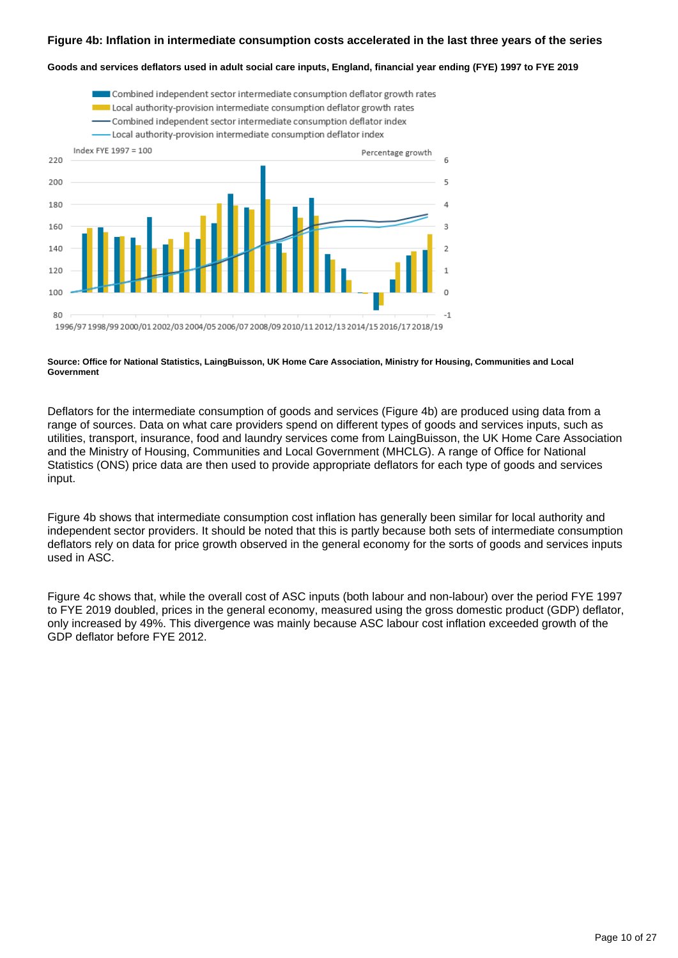#### **Goods and services deflators used in adult social care inputs, England, financial year ending (FYE) 1997 to FYE 2019**



#### **Source: Office for National Statistics, LaingBuisson, UK Home Care Association, Ministry for Housing, Communities and Local Government**

Deflators for the intermediate consumption of goods and services (Figure 4b) are produced using data from a range of sources. Data on what care providers spend on different types of goods and services inputs, such as utilities, transport, insurance, food and laundry services come from LaingBuisson, the UK Home Care Association and the Ministry of Housing, Communities and Local Government (MHCLG). A range of Office for National Statistics (ONS) price data are then used to provide appropriate deflators for each type of goods and services input.

Figure 4b shows that intermediate consumption cost inflation has generally been similar for local authority and independent sector providers. It should be noted that this is partly because both sets of intermediate consumption deflators rely on data for price growth observed in the general economy for the sorts of goods and services inputs used in ASC.

Figure 4c shows that, while the overall cost of ASC inputs (both labour and non-labour) over the period FYE 1997 to FYE 2019 doubled, prices in the general economy, measured using the gross domestic product (GDP) deflator, only increased by 49%. This divergence was mainly because ASC labour cost inflation exceeded growth of the GDP deflator before FYE 2012.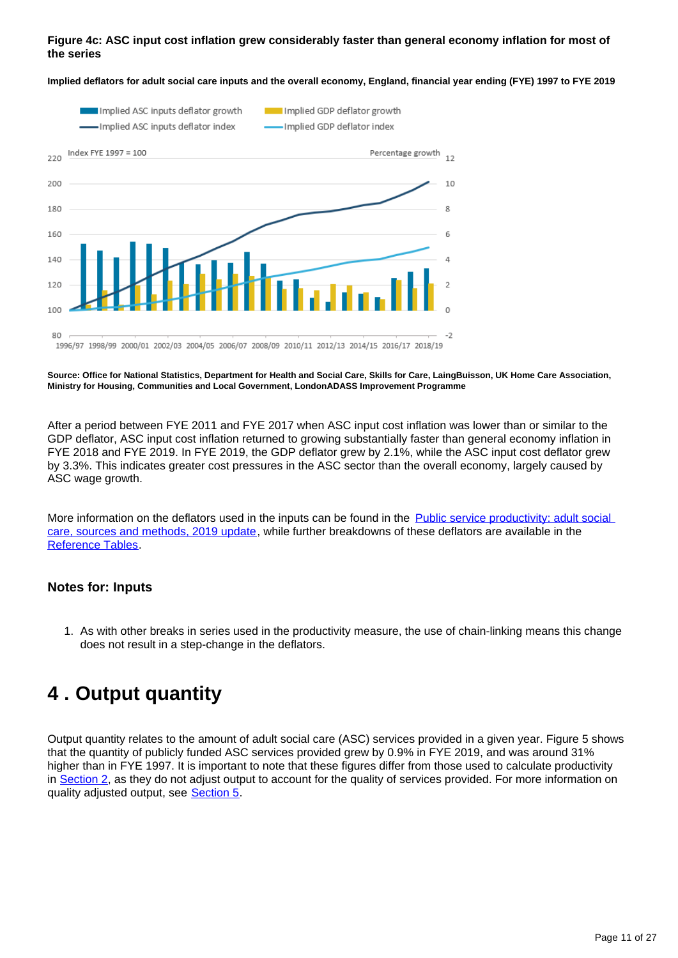#### **Figure 4c: ASC input cost inflation grew considerably faster than general economy inflation for most of the series**



**Implied deflators for adult social care inputs and the overall economy, England, financial year ending (FYE) 1997 to FYE 2019**

#### **Source: Office for National Statistics, Department for Health and Social Care, Skills for Care, LaingBuisson, UK Home Care Association, Ministry for Housing, Communities and Local Government, LondonADASS Improvement Programme**

After a period between FYE 2011 and FYE 2017 when ASC input cost inflation was lower than or similar to the GDP deflator, ASC input cost inflation returned to growing substantially faster than general economy inflation in FYE 2018 and FYE 2019. In FYE 2019, the GDP deflator grew by 2.1%, while the ASC input cost deflator grew by 3.3%. This indicates greater cost pressures in the ASC sector than the overall economy, largely caused by ASC wage growth.

More information on the deflators used in the inputs can be found in the Public service productivity: adult social [care, sources and methods, 2019 update,](https://www.ons.gov.uk/economy/economicoutputandproductivity/publicservicesproductivity/methodologies/publicserviceproductivityadultsocialcaresourcesandmethods2019update) while further breakdowns of these deflators are available in the [Reference Tables.](https://www.ons.gov.uk/economy/economicoutputandproductivity/publicservicesproductivity/datasets/publicserviceproductivityadultsocialcare)

#### **Notes for: Inputs**

1. As with other breaks in series used in the productivity measure, the use of chain-linking means this change does not result in a step-change in the deflators.

## <span id="page-10-0"></span>**4 . Output quantity**

Output quantity relates to the amount of adult social care (ASC) services provided in a given year. Figure 5 shows that the quantity of publicly funded ASC services provided grew by 0.9% in FYE 2019, and was around 31% higher than in FYE 1997. It is important to note that these figures differ from those used to calculate productivity in [Section 2,](https://www.ons.gov.uk/economy/economicoutputandproductivity/publicservicesproductivity/articles/publicserviceproductivityadultsocialcareengland/financialyearending2019#productivity) as they do not adjust output to account for the quality of services provided. For more information on quality adjusted output, see [Section 5](https://www.ons.gov.uk/economy/economicoutputandproductivity/publicservicesproductivity/articles/publicserviceproductivityadultsocialcareengland/financialyearending2019#output-quality).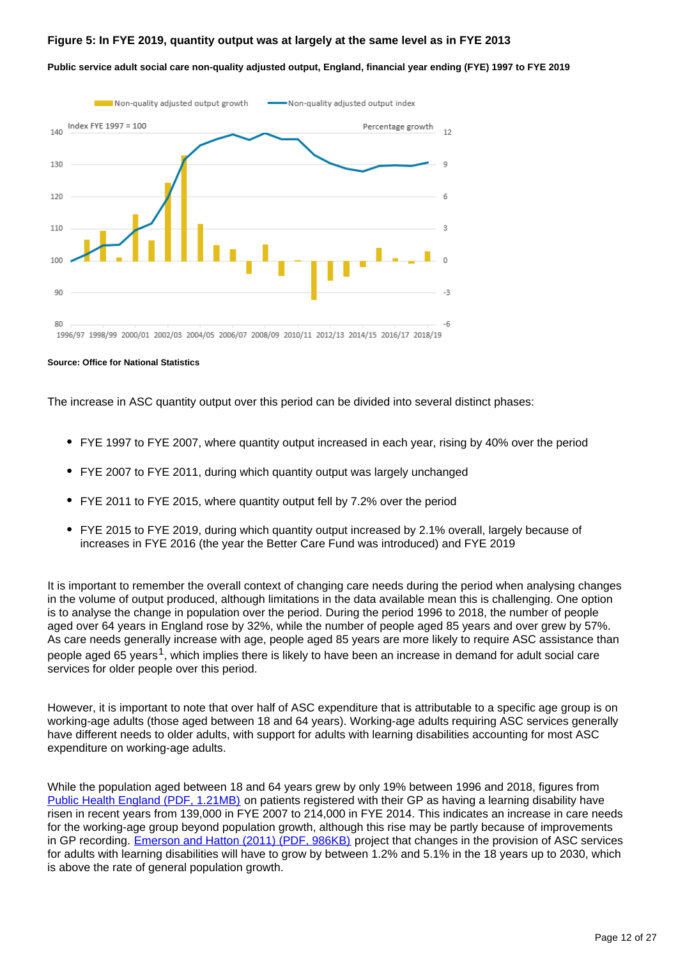#### **Figure 5: In FYE 2019, quantity output was at largely at the same level as in FYE 2013**

**Public service adult social care non-quality adjusted output, England, financial year ending (FYE) 1997 to FYE 2019**



#### **Source: Office for National Statistics**

The increase in ASC quantity output over this period can be divided into several distinct phases:

- FYE 1997 to FYE 2007, where quantity output increased in each year, rising by 40% over the period
- FYE 2007 to FYE 2011, during which quantity output was largely unchanged
- FYE 2011 to FYE 2015, where quantity output fell by 7.2% over the period
- FYE 2015 to FYE 2019, during which quantity output increased by 2.1% overall, largely because of increases in FYE 2016 (the year the Better Care Fund was introduced) and FYE 2019

It is important to remember the overall context of changing care needs during the period when analysing changes in the volume of output produced, although limitations in the data available mean this is challenging. One option is to analyse the change in population over the period. During the period 1996 to 2018, the number of people aged over 64 years in England rose by 32%, while the number of people aged 85 years and over grew by 57%. As care needs generally increase with age, people aged 85 years are more likely to require ASC assistance than people aged 65 years<sup>1</sup>, which implies there is likely to have been an increase in demand for adult social care services for older people over this period.

However, it is important to note that over half of ASC expenditure that is attributable to a specific age group is on working-age adults (those aged between 18 and 64 years). Working-age adults requiring ASC services generally have different needs to older adults, with support for adults with learning disabilities accounting for most ASC expenditure on working-age adults.

While the population aged between 18 and 64 years grew by only 19% between 1996 and 2018, figures from [Public Health England \(PDF, 1.21MB\)](https://assets.publishing.service.gov.uk/government/uploads/system/uploads/attachment_data/file/613182/PWLDIE_2015_main_report_NB090517.pdf) on patients registered with their GP as having a learning disability have risen in recent years from 139,000 in FYE 2007 to 214,000 in FYE 2014. This indicates an increase in care needs for the working-age group beyond population growth, although this rise may be partly because of improvements in GP recording. **Emerson and Hatton (2011) (PDF, 986KB)** project that changes in the provision of ASC services for adults with learning disabilities will have to grow by between 1.2% and 5.1% in the 18 years up to 2030, which is above the rate of general population growth.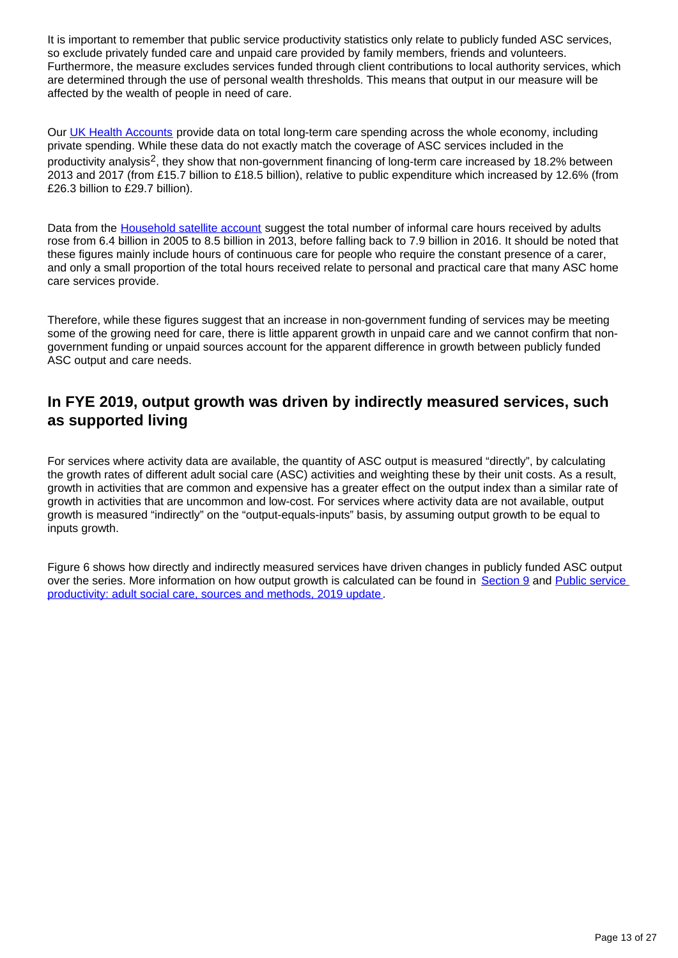It is important to remember that public service productivity statistics only relate to publicly funded ASC services, so exclude privately funded care and unpaid care provided by family members, friends and volunteers. Furthermore, the measure excludes services funded through client contributions to local authority services, which are determined through the use of personal wealth thresholds. This means that output in our measure will be affected by the wealth of people in need of care.

Our [UK Health Accounts](https://www.ons.gov.uk/peoplepopulationandcommunity/healthandsocialcare/healthcaresystem/bulletins/ukhealthaccounts/2017) provide data on total long-term care spending across the whole economy, including private spending. While these data do not exactly match the coverage of ASC services included in the productivity analysis<sup>2</sup>, they show that non-government financing of long-term care increased by 18.2% between 2013 and 2017 (from £15.7 billion to £18.5 billion), relative to public expenditure which increased by 12.6% (from £26.3 billion to £29.7 billion).

Data from the [Household satellite account](https://www.ons.gov.uk/economy/nationalaccounts/satelliteaccounts/articles/householdsatelliteaccounts/2015and2016estimates) suggest the total number of informal care hours received by adults rose from 6.4 billion in 2005 to 8.5 billion in 2013, before falling back to 7.9 billion in 2016. It should be noted that these figures mainly include hours of continuous care for people who require the constant presence of a carer, and only a small proportion of the total hours received relate to personal and practical care that many ASC home care services provide.

Therefore, while these figures suggest that an increase in non-government funding of services may be meeting some of the growing need for care, there is little apparent growth in unpaid care and we cannot confirm that nongovernment funding or unpaid sources account for the apparent difference in growth between publicly funded ASC output and care needs.

### **In FYE 2019, output growth was driven by indirectly measured services, such as supported living**

For services where activity data are available, the quantity of ASC output is measured "directly", by calculating the growth rates of different adult social care (ASC) activities and weighting these by their unit costs. As a result, growth in activities that are common and expensive has a greater effect on the output index than a similar rate of growth in activities that are uncommon and low-cost. For services where activity data are not available, output growth is measured "indirectly" on the "output-equals-inputs" basis, by assuming output growth to be equal to inputs growth.

Figure 6 shows how directly and indirectly measured services have driven changes in publicly funded ASC output over the series. More information on how output growth is calculated can be found in [Section 9](https://www.ons.gov.uk/economy/economicoutputandproductivity/publicservicesproductivity/articles/publicserviceproductivityadultsocialcareengland/financialyearending2019#quality-and-methodology) and Public service [productivity: adult social care, sources and methods, 2019 update](https://www.ons.gov.uk/economy/economicoutputandproductivity/publicservicesproductivity/methodologies/publicserviceproductivityadultsocialcaresourcesandmethods2019update).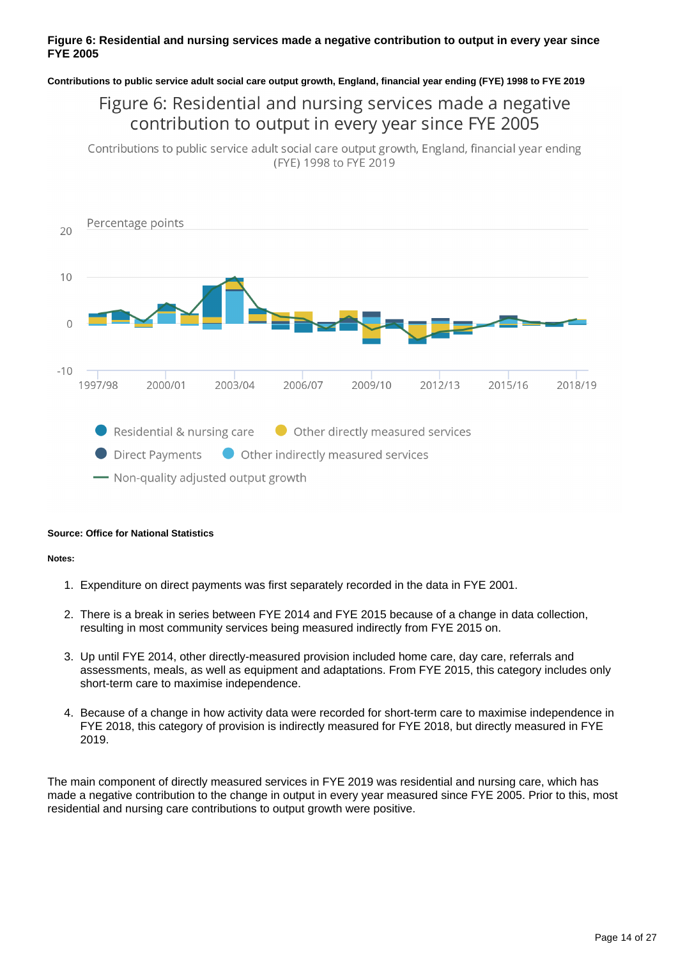#### **Figure 6: Residential and nursing services made a negative contribution to output in every year since FYE 2005**

**Contributions to public service adult social care output growth, England, financial year ending (FYE) 1998 to FYE 2019**

## Figure 6: Residential and nursing services made a negative contribution to output in every year since FYE 2005

Contributions to public service adult social care output growth, England, financial year ending (FYE) 1998 to FYE 2019



#### **Source: Office for National Statistics**

**Notes:**

- 1. Expenditure on direct payments was first separately recorded in the data in FYE 2001.
- 2. There is a break in series between FYE 2014 and FYE 2015 because of a change in data collection, resulting in most community services being measured indirectly from FYE 2015 on.
- 3. Up until FYE 2014, other directly-measured provision included home care, day care, referrals and assessments, meals, as well as equipment and adaptations. From FYE 2015, this category includes only short-term care to maximise independence.
- 4. Because of a change in how activity data were recorded for short-term care to maximise independence in FYE 2018, this category of provision is indirectly measured for FYE 2018, but directly measured in FYE 2019.

The main component of directly measured services in FYE 2019 was residential and nursing care, which has made a negative contribution to the change in output in every year measured since FYE 2005. Prior to this, most residential and nursing care contributions to output growth were positive.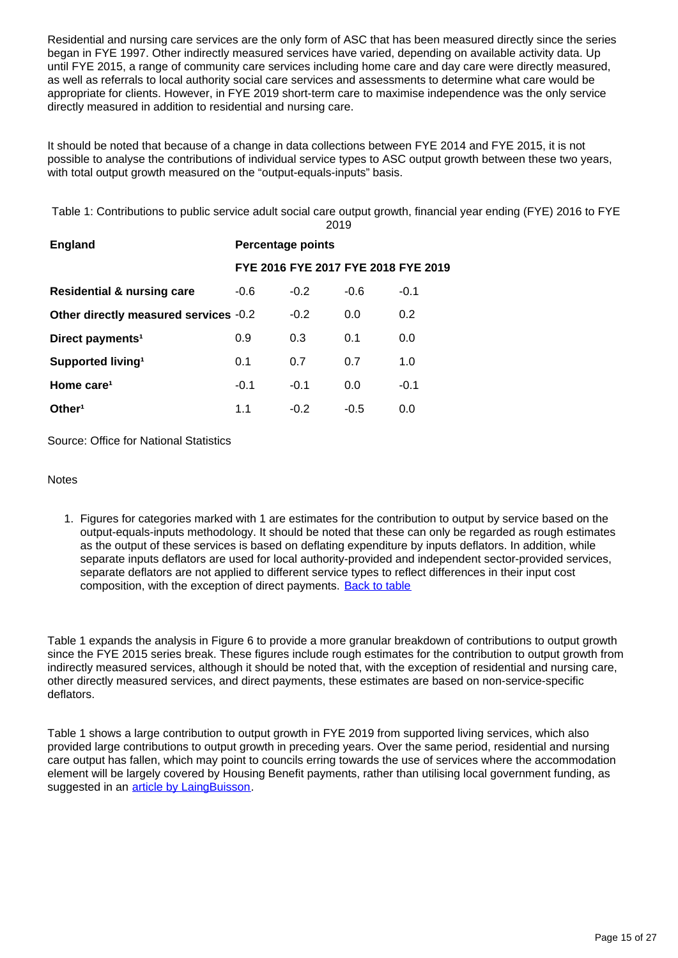Residential and nursing care services are the only form of ASC that has been measured directly since the series began in FYE 1997. Other indirectly measured services have varied, depending on available activity data. Up until FYE 2015, a range of community care services including home care and day care were directly measured, as well as referrals to local authority social care services and assessments to determine what care would be appropriate for clients. However, in FYE 2019 short-term care to maximise independence was the only service directly measured in addition to residential and nursing care.

It should be noted that because of a change in data collections between FYE 2014 and FYE 2015, it is not possible to analyse the contributions of individual service types to ASC output growth between these two years, with total output growth measured on the "output-equals-inputs" basis.

Table 1: Contributions to public service adult social care output growth, financial year ending (FYE) 2016 to FYE  $0.20$ 

|                                       | ∠ບ⊺ອ                     |                                     |        |        |  |  |  |
|---------------------------------------|--------------------------|-------------------------------------|--------|--------|--|--|--|
| England                               | <b>Percentage points</b> |                                     |        |        |  |  |  |
|                                       |                          | FYE 2016 FYE 2017 FYE 2018 FYE 2019 |        |        |  |  |  |
| <b>Residential &amp; nursing care</b> | $-0.6$                   | $-0.2$                              | $-0.6$ | $-0.1$ |  |  |  |
| Other directly measured services -0.2 |                          | $-0.2$                              | 0.0    | 0.2    |  |  |  |
| Direct payments <sup>1</sup>          | 0.9                      | 0.3                                 | 0.1    | 0.0    |  |  |  |
| Supported living <sup>1</sup>         | 0.1                      | 0.7                                 | 0.7    | 1.0    |  |  |  |
| Home care <sup>1</sup>                | $-0.1$                   | $-0.1$                              | 0.0    | $-0.1$ |  |  |  |
| Other <sup>1</sup>                    | 1.1                      | $-0.2$                              | $-0.5$ | 0.0    |  |  |  |

Source: Office for National Statistics

**Notes** 

1. Figures for categories marked with 1 are estimates for the contribution to output by service based on the output-equals-inputs methodology. It should be noted that these can only be regarded as rough estimates as the output of these services is based on deflating expenditure by inputs deflators. In addition, while separate inputs deflators are used for local authority-provided and independent sector-provided services, separate deflators are not applied to different service types to reflect differences in their input cost composition, with the exception of direct payments. [Back to table](#page-0-0)

Table 1 expands the analysis in Figure 6 to provide a more granular breakdown of contributions to output growth since the FYE 2015 series break. These figures include rough estimates for the contribution to output growth from indirectly measured services, although it should be noted that, with the exception of residential and nursing care, other directly measured services, and direct payments, these estimates are based on non-service-specific deflators.

Table 1 shows a large contribution to output growth in FYE 2019 from supported living services, which also provided large contributions to output growth in preceding years. Over the same period, residential and nursing care output has fallen, which may point to councils erring towards the use of services where the accommodation element will be largely covered by Housing Benefit payments, rather than utilising local government funding, as suggested in an **[article by LaingBuisson](https://www.laingbuisson.com/blog/adult-specialist-care-sector-grasps-growth-opportunities-in-supported-living/)**.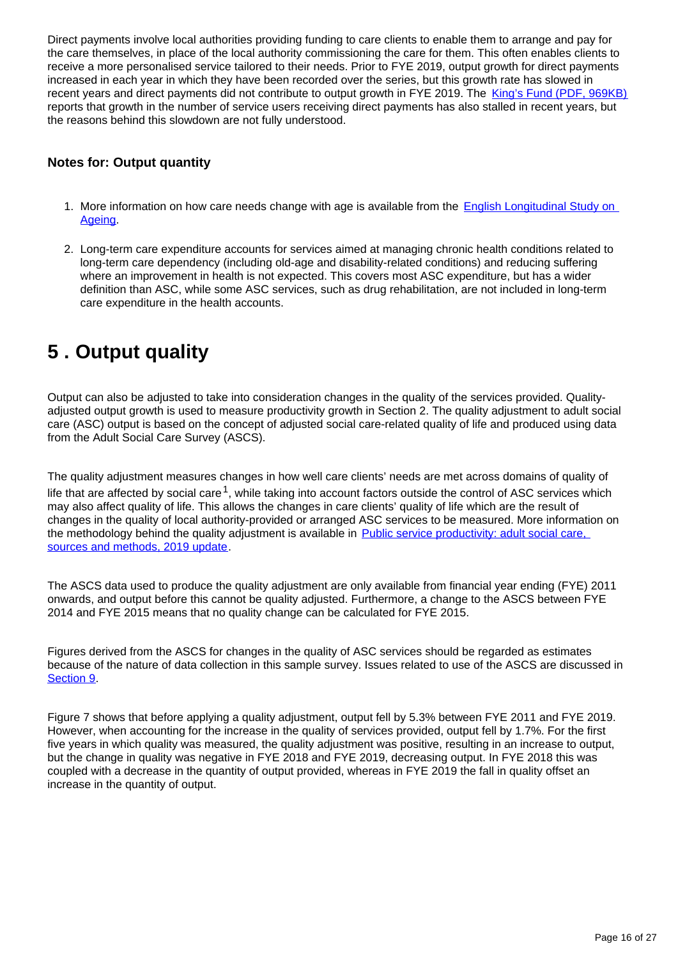Direct payments involve local authorities providing funding to care clients to enable them to arrange and pay for the care themselves, in place of the local authority commissioning the care for them. This often enables clients to receive a more personalised service tailored to their needs. Prior to FYE 2019, output growth for direct payments increased in each year in which they have been recorded over the series, but this growth rate has slowed in recent years and direct payments did not contribute to output growth in FYE 2019. The [King's Fund \(PDF, 969KB\)](https://www.kingsfund.org.uk/sites/default/files/2019-05/social-care-360-pdf.pdf?utm_source=website&utm_medium=social&utm_term=thekingsfund&utm_content=pdfreport&utm_campaign=socialcare360) reports that growth in the number of service users receiving direct payments has also stalled in recent years, but the reasons behind this slowdown are not fully understood.

### **Notes for: Output quantity**

- 1. More information on how care needs change with age is available from the **English Longitudinal Study on** [Ageing](https://www.ifs.org.uk/uploads/elsa/docs_w7/ELSA%20Wave%207%20report.pdf).
- 2. Long-term care expenditure accounts for services aimed at managing chronic health conditions related to long-term care dependency (including old-age and disability-related conditions) and reducing suffering where an improvement in health is not expected. This covers most ASC expenditure, but has a wider definition than ASC, while some ASC services, such as drug rehabilitation, are not included in long-term care expenditure in the health accounts.

## <span id="page-15-0"></span>**5 . Output quality**

Output can also be adjusted to take into consideration changes in the quality of the services provided. Qualityadjusted output growth is used to measure productivity growth in Section 2. The quality adjustment to adult social care (ASC) output is based on the concept of adjusted social care-related quality of life and produced using data from the Adult Social Care Survey (ASCS).

The quality adjustment measures changes in how well care clients' needs are met across domains of quality of life that are affected by social care<sup>1</sup>, while taking into account factors outside the control of ASC services which may also affect quality of life. This allows the changes in care clients' quality of life which are the result of changes in the quality of local authority-provided or arranged ASC services to be measured. More information on the methodology behind the quality adjustment is available in Public service productivity: adult social care, [sources and methods, 2019 update](https://www.ons.gov.uk/economy/economicoutputandproductivity/publicservicesproductivity/methodologies/publicserviceproductivityadultsocialcaresourcesandmethods2019update).

The ASCS data used to produce the quality adjustment are only available from financial year ending (FYE) 2011 onwards, and output before this cannot be quality adjusted. Furthermore, a change to the ASCS between FYE 2014 and FYE 2015 means that no quality change can be calculated for FYE 2015.

Figures derived from the ASCS for changes in the quality of ASC services should be regarded as estimates because of the nature of data collection in this sample survey. Issues related to use of the ASCS are discussed in [Section 9](https://www.ons.gov.uk/economy/economicoutputandproductivity/publicservicesproductivity/articles/publicserviceproductivityadultsocialcareengland/financialyearending2019#quality-and-methodology).

Figure 7 shows that before applying a quality adjustment, output fell by 5.3% between FYE 2011 and FYE 2019. However, when accounting for the increase in the quality of services provided, output fell by 1.7%. For the first five years in which quality was measured, the quality adjustment was positive, resulting in an increase to output, but the change in quality was negative in FYE 2018 and FYE 2019, decreasing output. In FYE 2018 this was coupled with a decrease in the quantity of output provided, whereas in FYE 2019 the fall in quality offset an increase in the quantity of output.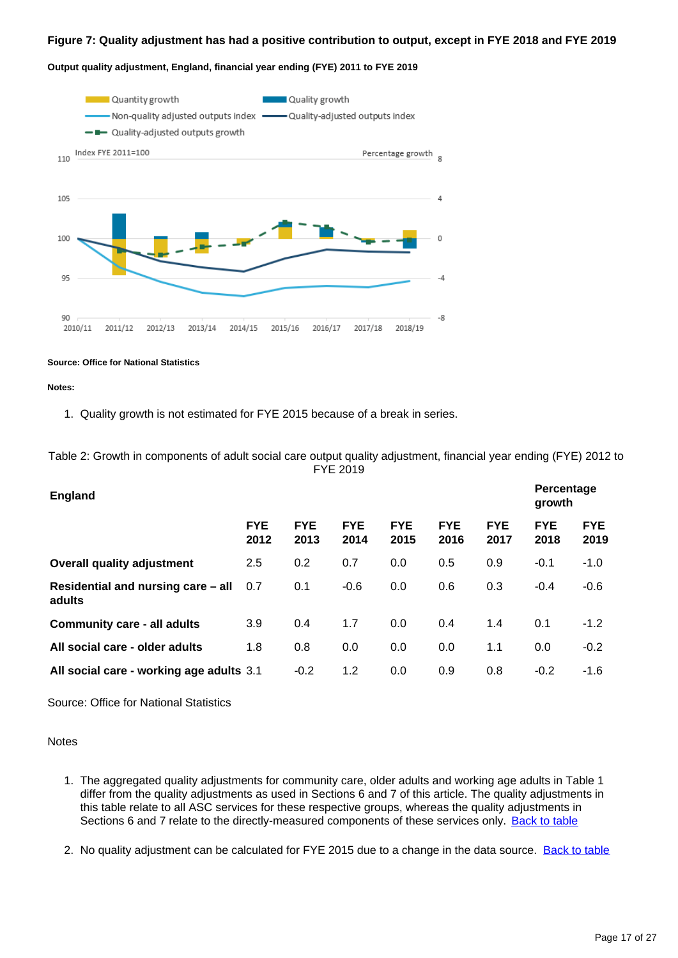#### **Figure 7: Quality adjustment has had a positive contribution to output, except in FYE 2018 and FYE 2019**



#### **Output quality adjustment, England, financial year ending (FYE) 2011 to FYE 2019**

#### **Source: Office for National Statistics**

#### **Notes:**

**adults**

1. Quality growth is not estimated for FYE 2015 because of a break in series.

| FYE 2019                           |                    |                    |                    |                    |                    |                    |                    |                      |  |  |  |
|------------------------------------|--------------------|--------------------|--------------------|--------------------|--------------------|--------------------|--------------------|----------------------|--|--|--|
| <b>England</b>                     |                    |                    |                    |                    |                    |                    |                    | Percentage<br>growth |  |  |  |
|                                    | <b>FYE</b><br>2012 | <b>FYE</b><br>2013 | <b>FYE</b><br>2014 | <b>FYE</b><br>2015 | <b>FYE</b><br>2016 | <b>FYE</b><br>2017 | <b>FYE</b><br>2018 | <b>FYE</b><br>2019   |  |  |  |
| <b>Overall quality adjustment</b>  | 2.5                | 0.2                | 0.7                | 0.0                | 0.5                | 0.9                | $-0.1$             | $-1.0$               |  |  |  |
| Residential and nursing care - all | 0.7                | 0.1                | $-0.6$             | 0.0                | 0.6                | 0.3                | $-0.4$             | $-0.6$               |  |  |  |

**Community care - all adults** 3.9 0.4 1.7 0.0 0.4 1.4 0.1 -1.2

**All social care - older adults** 1.8 0.8 0.0 0.0 0.0 1.1 0.0 -0.2

**All social care - working age adults** 3.1 -0.2 1.2 0.0 0.9 0.8 -0.2 -1.6

Table 2: Growth in components of adult social care output quality adjustment, financial year ending (FYE) 2012 to

# Notes

Source: Office for National Statistics

1. The aggregated quality adjustments for community care, older adults and working age adults in Table 1 differ from the quality adjustments as used in Sections 6 and 7 of this article. The quality adjustments in this table relate to all ASC services for these respective groups, whereas the quality adjustments in Sections 6 and 7 relate to the directly-measured components of these services only. [Back to table](#page-0-0)

2. No quality adjustment can be calculated for FYE 2015 due to a change in the data source. [Back to table](#page-0-0)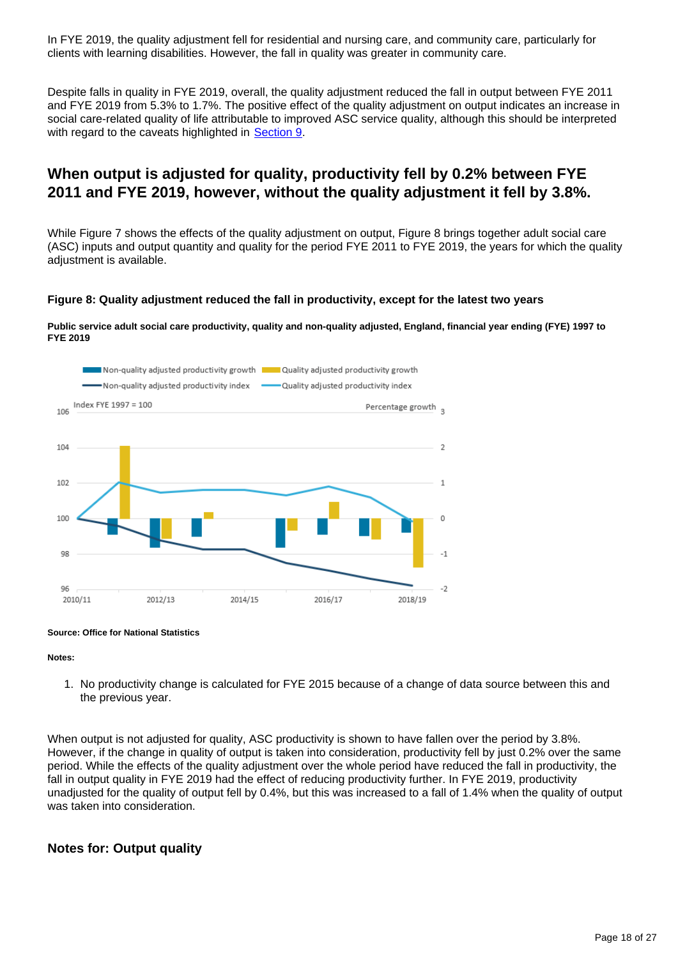In FYE 2019, the quality adjustment fell for residential and nursing care, and community care, particularly for clients with learning disabilities. However, the fall in quality was greater in community care.

Despite falls in quality in FYE 2019, overall, the quality adjustment reduced the fall in output between FYE 2011 and FYE 2019 from 5.3% to 1.7%. The positive effect of the quality adjustment on output indicates an increase in social care-related quality of life attributable to improved ASC service quality, although this should be interpreted with regard to the caveats highlighted in [Section 9](https://www.ons.gov.uk/economy/economicoutputandproductivity/publicservicesproductivity/articles/publicserviceproductivityadultsocialcareengland/financialyearending2019#quality-and-methodology).

### **When output is adjusted for quality, productivity fell by 0.2% between FYE 2011 and FYE 2019, however, without the quality adjustment it fell by 3.8%.**

While Figure 7 shows the effects of the quality adjustment on output, Figure 8 brings together adult social care (ASC) inputs and output quantity and quality for the period FYE 2011 to FYE 2019, the years for which the quality adjustment is available.

#### **Figure 8: Quality adjustment reduced the fall in productivity, except for the latest two years**

#### **Public service adult social care productivity, quality and non-quality adjusted, England, financial year ending (FYE) 1997 to FYE 2019**





#### **Notes:**

1. No productivity change is calculated for FYE 2015 because of a change of data source between this and the previous year.

When output is not adjusted for quality, ASC productivity is shown to have fallen over the period by 3.8%. However, if the change in quality of output is taken into consideration, productivity fell by just 0.2% over the same period. While the effects of the quality adjustment over the whole period have reduced the fall in productivity, the fall in output quality in FYE 2019 had the effect of reducing productivity further. In FYE 2019, productivity unadjusted for the quality of output fell by 0.4%, but this was increased to a fall of 1.4% when the quality of output was taken into consideration.

### **Notes for: Output quality**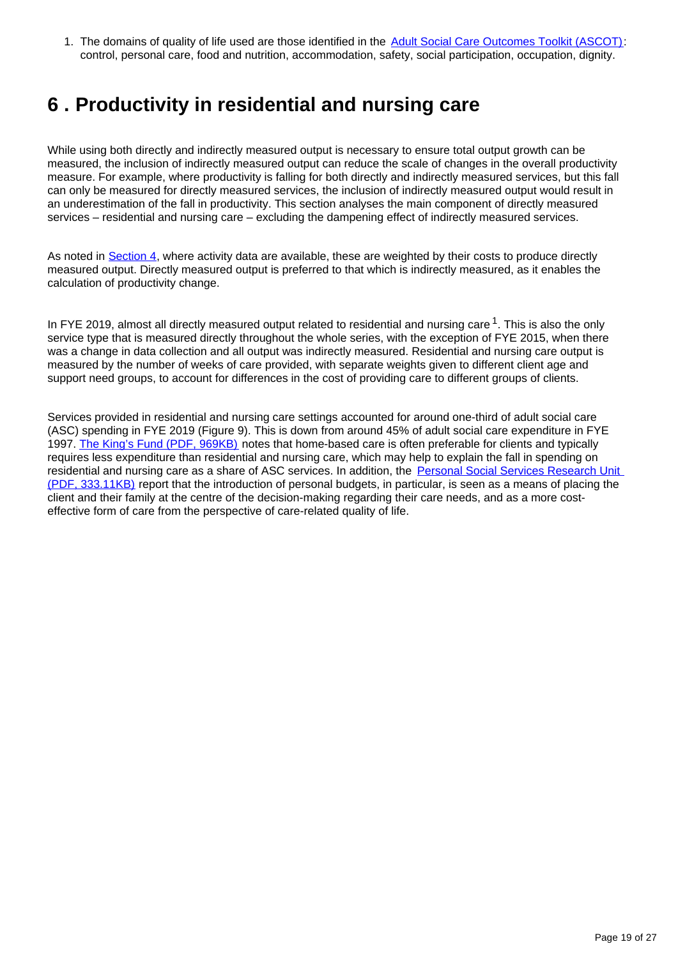1. The domains of quality of life used are those identified in the [Adult Social Care Outcomes Toolkit \(ASCOT\):](https://www.pssru.ac.uk/ascot/) control, personal care, food and nutrition, accommodation, safety, social participation, occupation, dignity.

## <span id="page-18-0"></span>**6 . Productivity in residential and nursing care**

While using both directly and indirectly measured output is necessary to ensure total output growth can be measured, the inclusion of indirectly measured output can reduce the scale of changes in the overall productivity measure. For example, where productivity is falling for both directly and indirectly measured services, but this fall can only be measured for directly measured services, the inclusion of indirectly measured output would result in an underestimation of the fall in productivity. This section analyses the main component of directly measured services – residential and nursing care – excluding the dampening effect of indirectly measured services.

As noted in [Section 4,](https://www.ons.gov.uk/economy/economicoutputandproductivity/publicservicesproductivity/articles/publicserviceproductivityadultsocialcareengland/financialyearending2019#output-quantity) where activity data are available, these are weighted by their costs to produce directly measured output. Directly measured output is preferred to that which is indirectly measured, as it enables the calculation of productivity change.

In FYE 2019, almost all directly measured output related to residential and nursing care  $1$ . This is also the only service type that is measured directly throughout the whole series, with the exception of FYE 2015, when there was a change in data collection and all output was indirectly measured. Residential and nursing care output is measured by the number of weeks of care provided, with separate weights given to different client age and support need groups, to account for differences in the cost of providing care to different groups of clients.

Services provided in residential and nursing care settings accounted for around one-third of adult social care (ASC) spending in FYE 2019 (Figure 9). This is down from around 45% of adult social care expenditure in FYE 1997. [The King's Fund \(PDF, 969KB\)](https://www.kingsfund.org.uk/sites/default/files/2019-05/social-care-360-pdf.pdf?utm_source=website&utm_medium=social&utm_term=thekingsfund&utm_content=pdfreport&utm_campaign=socialcare360) notes that home-based care is often preferable for clients and typically requires less expenditure than residential and nursing care, which may help to explain the fall in spending on residential and nursing care as a share of ASC services. In addition, the [Personal Social Services Research Unit](https://www.pssru.ac.uk/pub/5331.pdf)  [\(PDF, 333.11KB\)](https://www.pssru.ac.uk/pub/5331.pdf) report that the introduction of personal budgets, in particular, is seen as a means of placing the client and their family at the centre of the decision-making regarding their care needs, and as a more costeffective form of care from the perspective of care-related quality of life.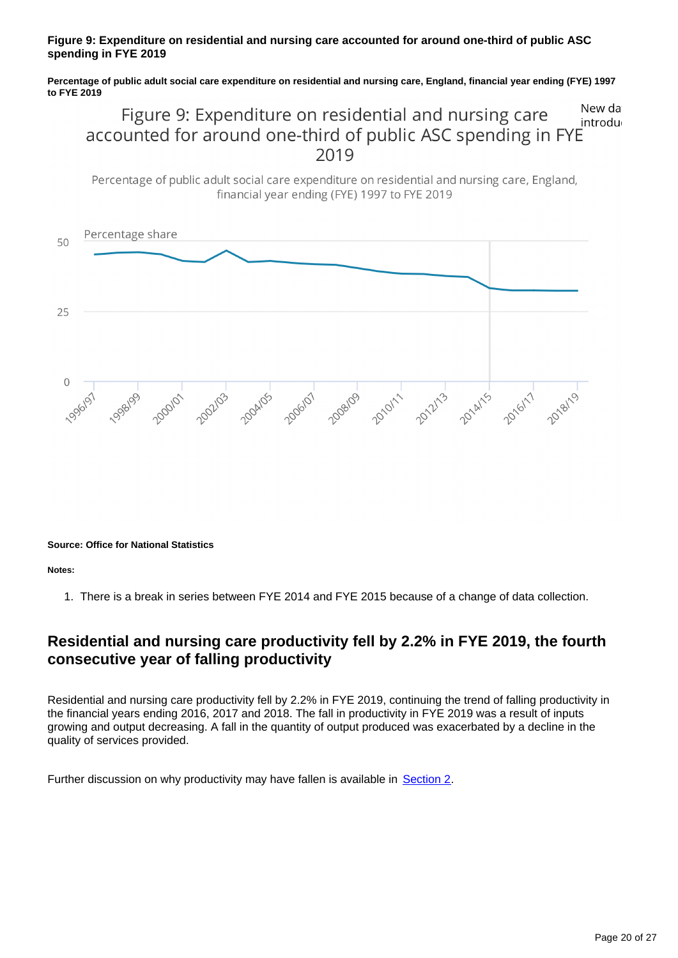#### **Figure 9: Expenditure on residential and nursing care accounted for around one-third of public ASC spending in FYE 2019**

**Percentage of public adult social care expenditure on residential and nursing care, England, financial year ending (FYE) 1997 to FYE 2019**

New da Figure 9: Expenditure on residential and nursing care introdu accounted for around one-third of public ASC spending in FYE 2019

Percentage of public adult social care expenditure on residential and nursing care, England, financial vear ending (FYE) 1997 to FYE 2019



**Source: Office for National Statistics**

**Notes:**

1. There is a break in series between FYE 2014 and FYE 2015 because of a change of data collection.

### **Residential and nursing care productivity fell by 2.2% in FYE 2019, the fourth consecutive year of falling productivity**

Residential and nursing care productivity fell by 2.2% in FYE 2019, continuing the trend of falling productivity in the financial years ending 2016, 2017 and 2018. The fall in productivity in FYE 2019 was a result of inputs growing and output decreasing. A fall in the quantity of output produced was exacerbated by a decline in the quality of services provided.

Further discussion on why productivity may have fallen is available in [Section 2](https://www.ons.gov.uk/economy/economicoutputandproductivity/publicservicesproductivity/articles/publicserviceproductivityadultsocialcareengland/financialyearending2019#productivity).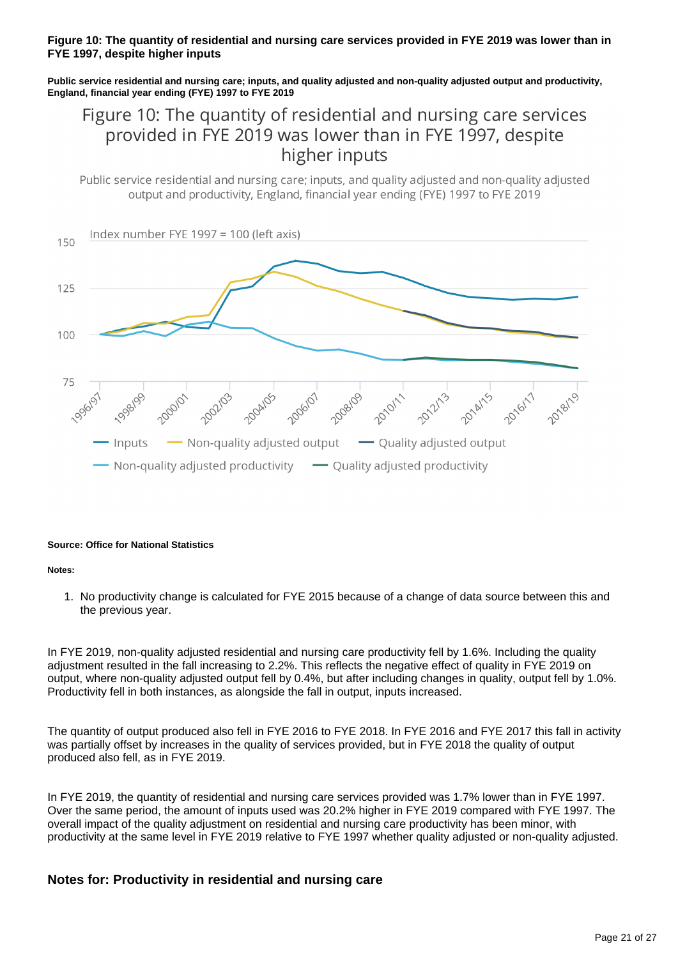#### **Figure 10: The quantity of residential and nursing care services provided in FYE 2019 was lower than in FYE 1997, despite higher inputs**

**Public service residential and nursing care; inputs, and quality adjusted and non-quality adjusted output and productivity, England, financial year ending (FYE) 1997 to FYE 2019**

## Figure 10: The quantity of residential and nursing care services provided in FYE 2019 was lower than in FYE 1997, despite higher inputs

Public service residential and nursing care; inputs, and quality adjusted and non-quality adjusted output and productivity. England, financial year ending (FYE) 1997 to FYE 2019



#### **Source: Office for National Statistics**

#### **Notes:**

1. No productivity change is calculated for FYE 2015 because of a change of data source between this and the previous year.

In FYE 2019, non-quality adjusted residential and nursing care productivity fell by 1.6%. Including the quality adjustment resulted in the fall increasing to 2.2%. This reflects the negative effect of quality in FYE 2019 on output, where non-quality adjusted output fell by 0.4%, but after including changes in quality, output fell by 1.0%. Productivity fell in both instances, as alongside the fall in output, inputs increased.

The quantity of output produced also fell in FYE 2016 to FYE 2018. In FYE 2016 and FYE 2017 this fall in activity was partially offset by increases in the quality of services provided, but in FYE 2018 the quality of output produced also fell, as in FYE 2019.

In FYE 2019, the quantity of residential and nursing care services provided was 1.7% lower than in FYE 1997. Over the same period, the amount of inputs used was 20.2% higher in FYE 2019 compared with FYE 1997. The overall impact of the quality adjustment on residential and nursing care productivity has been minor, with productivity at the same level in FYE 2019 relative to FYE 1997 whether quality adjusted or non-quality adjusted.

#### **Notes for: Productivity in residential and nursing care**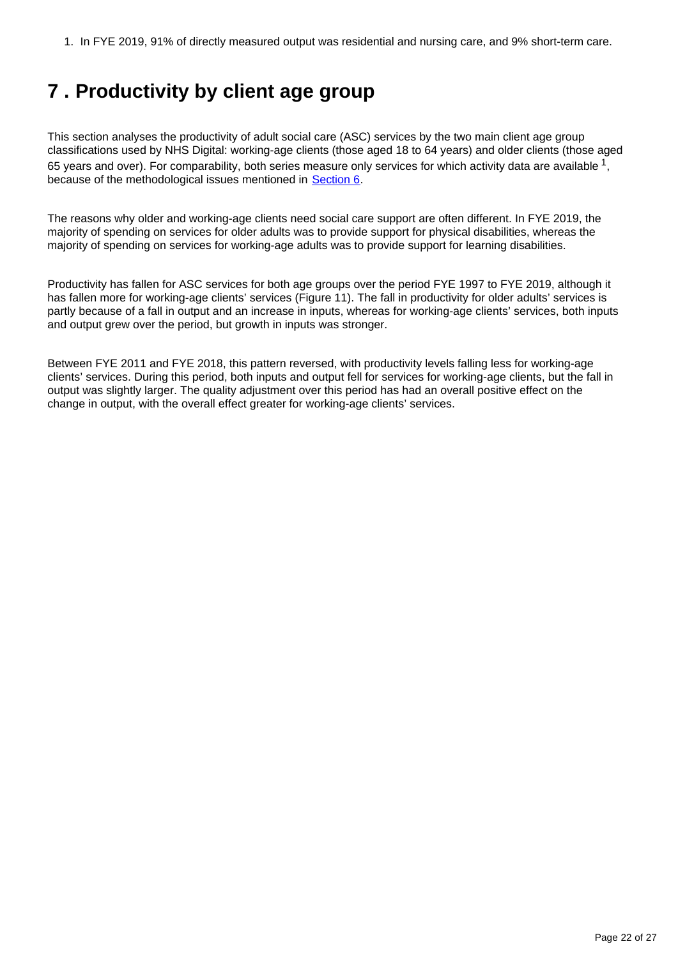1. In FYE 2019, 91% of directly measured output was residential and nursing care, and 9% short-term care.

# <span id="page-21-0"></span>**7 . Productivity by client age group**

This section analyses the productivity of adult social care (ASC) services by the two main client age group classifications used by NHS Digital: working-age clients (those aged 18 to 64 years) and older clients (those aged 65 years and over). For comparability, both series measure only services for which activity data are available  $^1$ , because of the methodological issues mentioned in [Section 6](https://www.ons.gov.uk/economy/economicoutputandproductivity/publicservicesproductivity/articles/publicserviceproductivityadultsocialcareengland/financialyearending2019#productivity-in-residential-and-nursing-care).

The reasons why older and working-age clients need social care support are often different. In FYE 2019, the majority of spending on services for older adults was to provide support for physical disabilities, whereas the majority of spending on services for working-age adults was to provide support for learning disabilities.

Productivity has fallen for ASC services for both age groups over the period FYE 1997 to FYE 2019, although it has fallen more for working-age clients' services (Figure 11). The fall in productivity for older adults' services is partly because of a fall in output and an increase in inputs, whereas for working-age clients' services, both inputs and output grew over the period, but growth in inputs was stronger.

Between FYE 2011 and FYE 2018, this pattern reversed, with productivity levels falling less for working-age clients' services. During this period, both inputs and output fell for services for working-age clients, but the fall in output was slightly larger. The quality adjustment over this period has had an overall positive effect on the change in output, with the overall effect greater for working-age clients' services.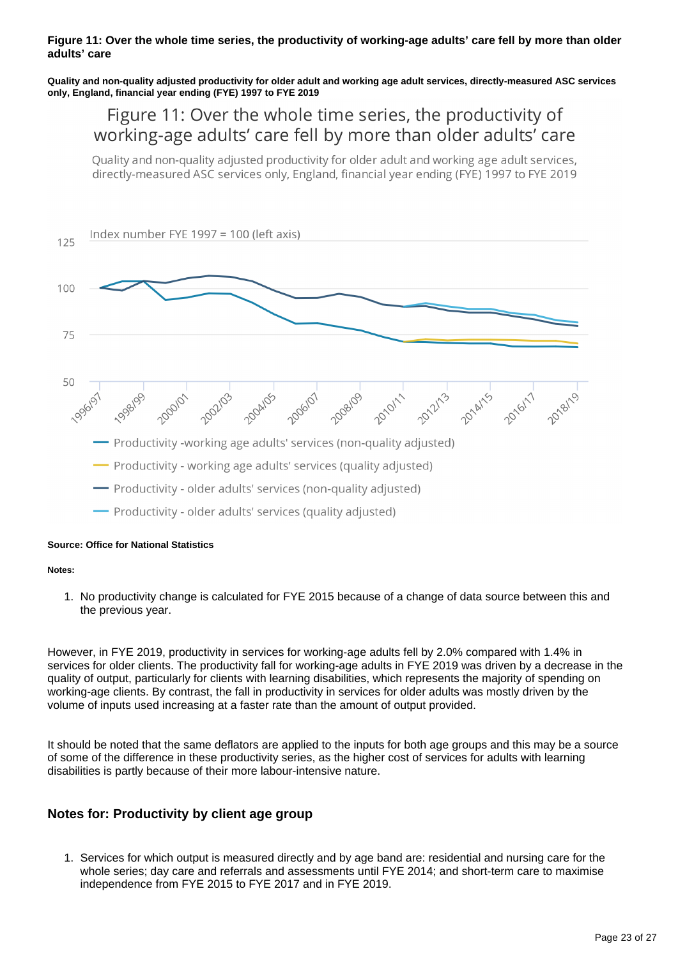#### **Figure 11: Over the whole time series, the productivity of working-age adults' care fell by more than older adults' care**

#### **Quality and non-quality adjusted productivity for older adult and working age adult services, directly-measured ASC services only, England, financial year ending (FYE) 1997 to FYE 2019**

## Figure 11: Over the whole time series, the productivity of working-age adults' care fell by more than older adults' care

Ouality and non-quality adjusted productivity for older adult and working age adult services. directly-measured ASC services only, England, financial year ending (FYE) 1997 to FYE 2019



#### **Source: Office for National Statistics**

#### **Notes:**

1. No productivity change is calculated for FYE 2015 because of a change of data source between this and the previous year.

However, in FYE 2019, productivity in services for working-age adults fell by 2.0% compared with 1.4% in services for older clients. The productivity fall for working-age adults in FYE 2019 was driven by a decrease in the quality of output, particularly for clients with learning disabilities, which represents the majority of spending on working-age clients. By contrast, the fall in productivity in services for older adults was mostly driven by the volume of inputs used increasing at a faster rate than the amount of output provided.

It should be noted that the same deflators are applied to the inputs for both age groups and this may be a source of some of the difference in these productivity series, as the higher cost of services for adults with learning disabilities is partly because of their more labour-intensive nature.

### **Notes for: Productivity by client age group**

1. Services for which output is measured directly and by age band are: residential and nursing care for the whole series; day care and referrals and assessments until FYE 2014; and short-term care to maximise independence from FYE 2015 to FYE 2017 and in FYE 2019.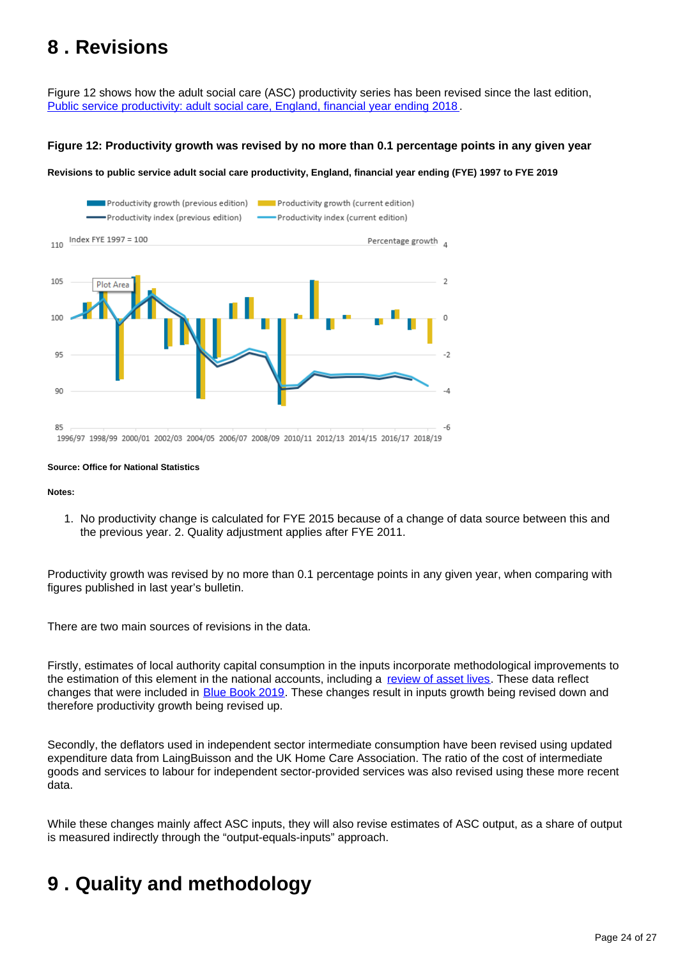# <span id="page-23-0"></span>**8 . Revisions**

Figure 12 shows how the adult social care (ASC) productivity series has been revised since the last edition, [Public service productivity: adult social care, England, financial year ending 2018](https://www.ons.gov.uk/economy/economicoutputandproductivity/publicservicesproductivity/articles/publicserviceproductivityadultsocialcareengland/financialyearending2018).

#### **Figure 12: Productivity growth was revised by no more than 0.1 percentage points in any given year**

**Revisions to public service adult social care productivity, England, financial year ending (FYE) 1997 to FYE 2019**



#### **Source: Office for National Statistics**

**Notes:**

1. No productivity change is calculated for FYE 2015 because of a change of data source between this and the previous year. 2. Quality adjustment applies after FYE 2011.

Productivity growth was revised by no more than 0.1 percentage points in any given year, when comparing with figures published in last year's bulletin.

There are two main sources of revisions in the data.

Firstly, estimates of local authority capital consumption in the inputs incorporate methodological improvements to the estimation of this element in the national accounts, including a [review of asset lives.](https://www.ons.gov.uk/economy/nationalaccounts/uksectoraccounts/articles/nationalaccountsarticles/changestothecapitalstockestimationmethodsforbluebook2019) These data reflect changes that were included in [Blue Book 2019](https://www.ons.gov.uk/economy/grossdomesticproductgdp/compendium/unitedkingdomnationalaccountsthebluebook/2019). These changes result in inputs growth being revised down and therefore productivity growth being revised up.

Secondly, the deflators used in independent sector intermediate consumption have been revised using updated expenditure data from LaingBuisson and the UK Home Care Association. The ratio of the cost of intermediate goods and services to labour for independent sector-provided services was also revised using these more recent data.

While these changes mainly affect ASC inputs, they will also revise estimates of ASC output, as a share of output is measured indirectly through the "output-equals-inputs" approach.

# <span id="page-23-1"></span>**9 . Quality and methodology**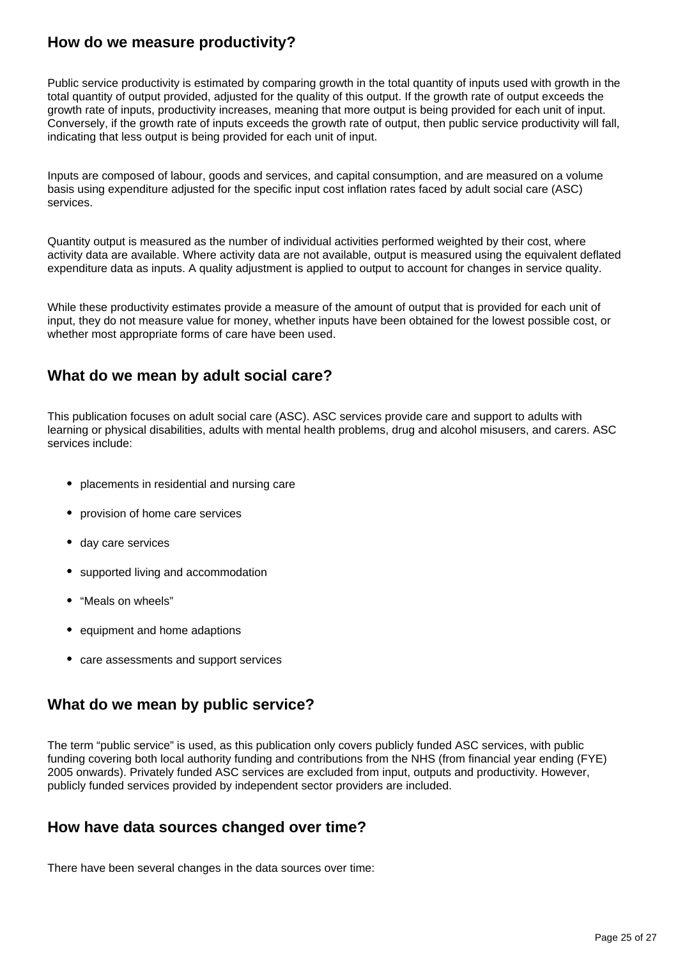### **How do we measure productivity?**

Public service productivity is estimated by comparing growth in the total quantity of inputs used with growth in the total quantity of output provided, adjusted for the quality of this output. If the growth rate of output exceeds the growth rate of inputs, productivity increases, meaning that more output is being provided for each unit of input. Conversely, if the growth rate of inputs exceeds the growth rate of output, then public service productivity will fall, indicating that less output is being provided for each unit of input.

Inputs are composed of labour, goods and services, and capital consumption, and are measured on a volume basis using expenditure adjusted for the specific input cost inflation rates faced by adult social care (ASC) services.

Quantity output is measured as the number of individual activities performed weighted by their cost, where activity data are available. Where activity data are not available, output is measured using the equivalent deflated expenditure data as inputs. A quality adjustment is applied to output to account for changes in service quality.

While these productivity estimates provide a measure of the amount of output that is provided for each unit of input, they do not measure value for money, whether inputs have been obtained for the lowest possible cost, or whether most appropriate forms of care have been used.

### **What do we mean by adult social care?**

This publication focuses on adult social care (ASC). ASC services provide care and support to adults with learning or physical disabilities, adults with mental health problems, drug and alcohol misusers, and carers. ASC services include:

- placements in residential and nursing care
- provision of home care services
- day care services
- supported living and accommodation
- "Meals on wheels"
- equipment and home adaptions
- care assessments and support services

### **What do we mean by public service?**

The term "public service" is used, as this publication only covers publicly funded ASC services, with public funding covering both local authority funding and contributions from the NHS (from financial year ending (FYE) 2005 onwards). Privately funded ASC services are excluded from input, outputs and productivity. However, publicly funded services provided by independent sector providers are included.

### **How have data sources changed over time?**

There have been several changes in the data sources over time: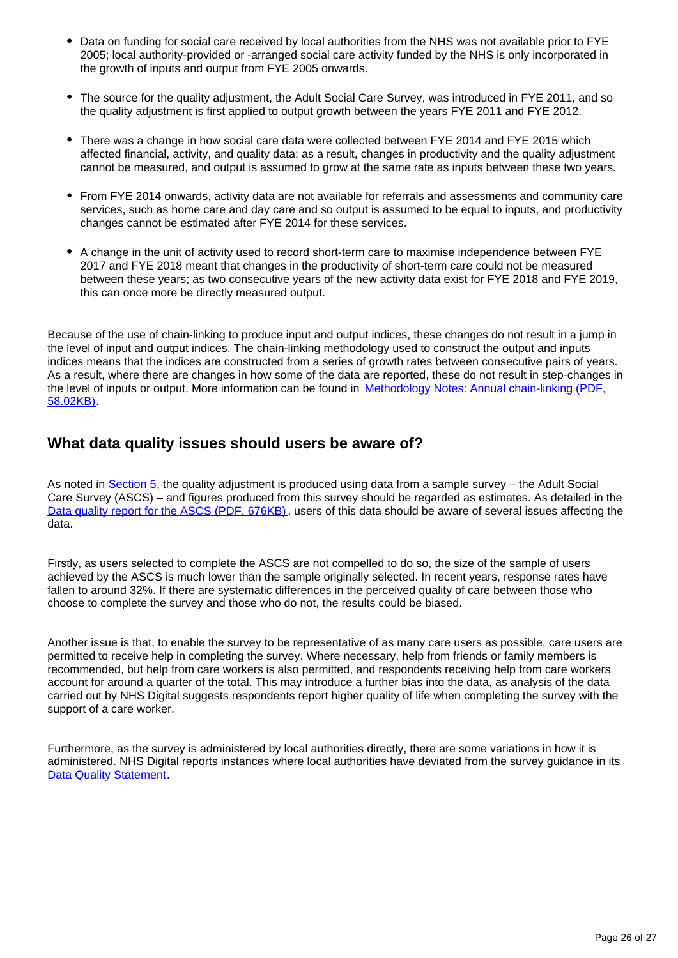- Data on funding for social care received by local authorities from the NHS was not available prior to FYE 2005; local authority-provided or -arranged social care activity funded by the NHS is only incorporated in the growth of inputs and output from FYE 2005 onwards.
- The source for the quality adjustment, the Adult Social Care Survey, was introduced in FYE 2011, and so the quality adjustment is first applied to output growth between the years FYE 2011 and FYE 2012.
- There was a change in how social care data were collected between FYE 2014 and FYE 2015 which affected financial, activity, and quality data; as a result, changes in productivity and the quality adjustment cannot be measured, and output is assumed to grow at the same rate as inputs between these two years.
- From FYE 2014 onwards, activity data are not available for referrals and assessments and community care services, such as home care and day care and so output is assumed to be equal to inputs, and productivity changes cannot be estimated after FYE 2014 for these services.
- A change in the unit of activity used to record short-term care to maximise independence between FYE 2017 and FYE 2018 meant that changes in the productivity of short-term care could not be measured between these years; as two consecutive years of the new activity data exist for FYE 2018 and FYE 2019, this can once more be directly measured output.

Because of the use of chain-linking to produce input and output indices, these changes do not result in a jump in the level of input and output indices. The chain-linking methodology used to construct the output and inputs indices means that the indices are constructed from a series of growth rates between consecutive pairs of years. As a result, where there are changes in how some of the data are reported, these do not result in step-changes in the level of inputs or output. More information can be found in Methodology Notes: Annual chain-linking (PDF, [58.02KB\)](https://www.ons.gov.uk/ons/rel/elmr/economic-trends--discontinued-/no--630--may-2006/methodological-note--annual-chain-linking.pdf).

### **What data quality issues should users be aware of?**

As noted in [Section 5,](https://www.ons.gov.uk/economy/economicoutputandproductivity/publicservicesproductivity/articles/publicserviceproductivityadultsocialcareengland/financialyearending2019#output-quality) the quality adjustment is produced using data from a sample survey – the Adult Social Care Survey (ASCS) – and figures produced from this survey should be regarded as estimates. As detailed in the [Data quality report for the ASCS \(PDF, 676KB\),](https://files.digital.nhs.uk/0E/5F058D/pss-ascs-eng-1819_Data_Quality_report.pdf) users of this data should be aware of several issues affecting the data.

Firstly, as users selected to complete the ASCS are not compelled to do so, the size of the sample of users achieved by the ASCS is much lower than the sample originally selected. In recent years, response rates have fallen to around 32%. If there are systematic differences in the perceived quality of care between those who choose to complete the survey and those who do not, the results could be biased.

Another issue is that, to enable the survey to be representative of as many care users as possible, care users are permitted to receive help in completing the survey. Where necessary, help from friends or family members is recommended, but help from care workers is also permitted, and respondents receiving help from care workers account for around a quarter of the total. This may introduce a further bias into the data, as analysis of the data carried out by NHS Digital suggests respondents report higher quality of life when completing the survey with the support of a care worker.

Furthermore, as the survey is administered by local authorities directly, there are some variations in how it is administered. NHS Digital reports instances where local authorities have deviated from the survey guidance in its [Data Quality Statement](https://files.digital.nhs.uk/0E/5F058D/pss-ascs-eng-1819_Data_Quality_report.pdf).